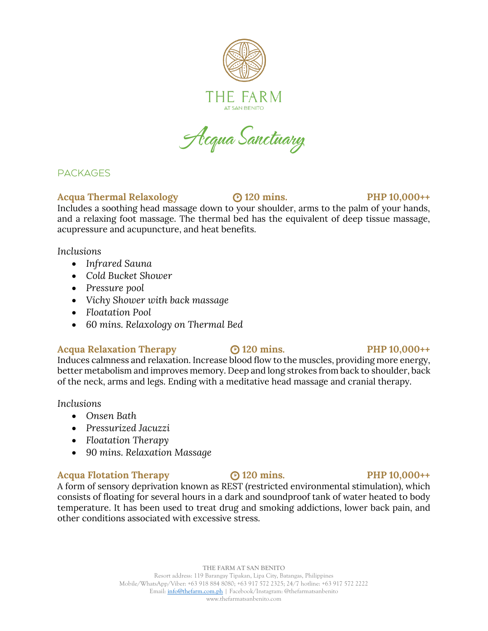

Acqua Sanctuary

# **PACKAGES**

# **Acqua Thermal Relaxology 120 mins. PHP 10,000++**

Includes a soothing head massage down to your shoulder, arms to the palm of your hands, and a relaxing foot massage. The thermal bed has the equivalent of deep tissue massage, acupressure and acupuncture, and heat benefits.

*Inclusions*

- *Infrared Sauna*
- *Cold Bucket Shower*
- *Pressure pool*
- *Vichy Shower with back massage*
- *Floatation Pool*
- *60 mins. Relaxology on Thermal Bed*

# **Acqua Relaxation Therapy 120 mins. PHP 10,000++**

Induces calmness and relaxation. Increase blood flow to the muscles, providing more energy, better metabolism and improves memory. Deep and long strokes from back to shoulder, back of the neck, arms and legs. Ending with a meditative head massage and cranial therapy.

*Inclusions*

- *Onsen Bath*
- *Pressurized Jacuzzi*
- *Floatation Therapy*
- *90 mins. Relaxation Massage*

# **Acqua Flotation Therapy 120 mins. PHP 10,000++**

A form of sensory deprivation known as REST (restricted environmental stimulation), which consists of floating for several hours in a dark and soundproof tank of water heated to body temperature. It has been used to treat drug and smoking addictions, lower back pain, and other conditions associated with excessive stress.

## **THE FARM AT SAN BENITO** Resort address: 119 Barangay Tipakan, Lipa City, Batangas, Philippines Mobile/WhatsApp/Viber: +63 918 884 8080; +63 917 572 2325; 24/7 hotline: +63 917 572 2222 Email[: info@thefarm.com.ph](mailto:info@thefarm.com.ph) | Facebook/Instagram: @thefarmatsanbenito

www.thefarmatsanbenito.com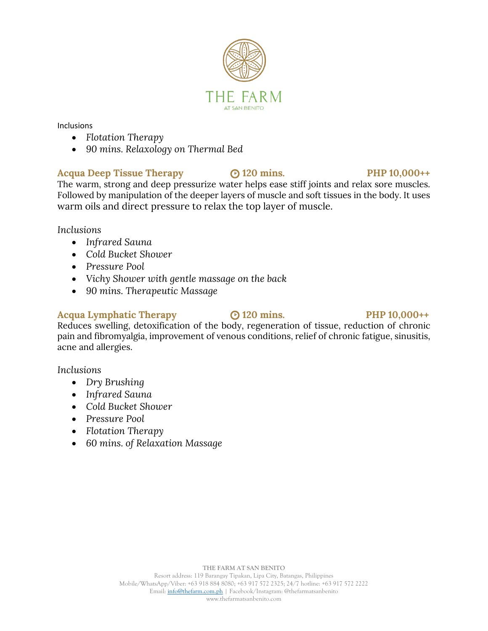

# • *90 mins. Relaxology on Thermal Bed*

• *Flotation Therapy*

**Acqua Deep Tissue Therapy 120 mins. PHP 10,000++** The warm, strong and deep pressurize water helps ease stiff joints and relax sore muscles. Followed by manipulation of the deeper layers of muscle and soft tissues in the body. It uses warm oils and direct pressure to relax the top layer of muscle.

*Inclusions*

Inclusions

- *Infrared Sauna*
- *Cold Bucket Shower*
- *Pressure Pool*
- *Vichy Shower with gentle massage on the back*
- *90 mins. Therapeutic Massage*

# **Acqua Lymphatic Therapy 120 mins. PHP 10,000++**

Reduces swelling, detoxification of the body, regeneration of tissue, reduction of chronic pain and fibromyalgia, improvement of venous conditions, relief of chronic fatigue, sinusitis, acne and allergies.

*Inclusions*

- *Dry Brushing*
- *Infrared Sauna*
- *Cold Bucket Shower*
- *Pressure Pool*
- *Flotation Therapy*
- *60 mins. of Relaxation Massage*



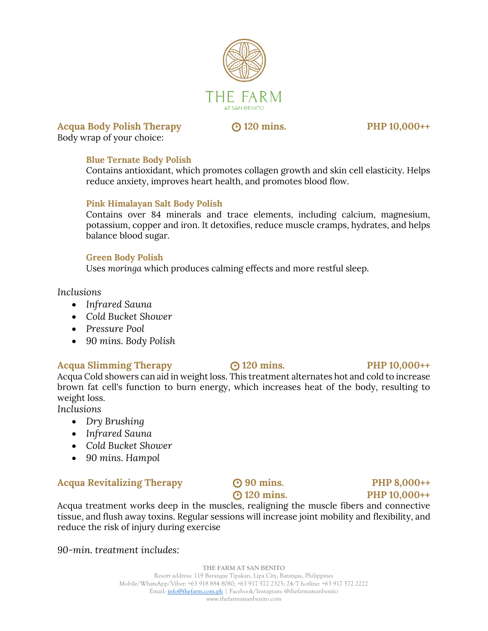

**Acqua Body Polish Therapy 120 mins. PHP 10,000++** Body wrap of your choice:

# **Blue Ternate Body Polish**

Contains antioxidant, which promotes collagen growth and skin cell elasticity. Helps reduce anxiety, improves heart health, and promotes blood flow.

## **Pink Himalayan Salt Body Polish**

Contains over 84 minerals and trace elements, including calcium, magnesium, potassium, copper and iron. It detoxifies, reduce muscle cramps, hydrates, and helps balance blood sugar.

## **Green Body Polish**

Uses *moringa* which produces calming effects and more restful sleep.

*Inclusions*

- *Infrared Sauna*
- *Cold Bucket Shower*
- *Pressure Pool*
- *90 mins. Body Polish*

# **Acqua Slimming Therapy 120 mins. PHP 10,000++**

Acqua Cold showers can aid in weight loss. This treatment alternates hot and cold to increase brown fat cell's function to burn energy, which increases heat of the body, resulting to weight loss.

*Inclusions*

- *Dry Brushing*
- *Infrared Sauna*
- *Cold Bucket Shower*
- *90 mins. Hampol*

# Acqua Revitalizing Therapy **8** 90 mins. PHP 8,000++

# **120 mins. PHP 10,000++**

Acqua treatment works deep in the muscles, realigning the muscle fibers and connective tissue, and flush away toxins. Regular sessions will increase joint mobility and flexibility, and reduce the risk of injury during exercise

*90-min. treatment includes:*

**THE FARM AT SAN BENITO** Resort address: 119 Barangay Tipakan, Lipa City, Batangas, Philippines Mobile/WhatsApp/Viber: +63 918 884 8080; +63 917 572 2325; 24/7 hotline: +63 917 572 2222 Email[: info@thefarm.com.ph](mailto:info@thefarm.com.ph) | Facebook/Instagram: @thefarmatsanbenito www.thefarmatsanbenito.com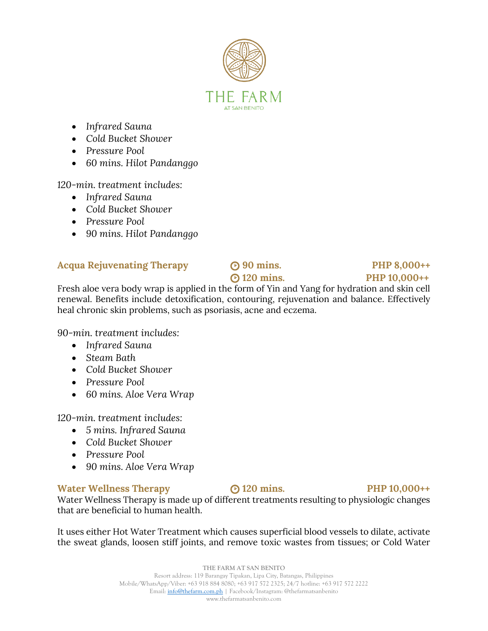

- *Infrared Sauna*
- *Cold Bucket Shower*
- *Pressure Pool*
- *60 mins. Hilot Pandanggo*

*120-min. treatment includes:*

- *Infrared Sauna*
- *Cold Bucket Shower*
- *Pressure Pool*
- *90 mins. Hilot Pandanggo*

# Acqua Rejuvenating Therapy **80 COM** 90 mins. PHP 8,000++

# **120 mins. PHP 10,000++**

Fresh aloe vera body wrap is applied in the form of Yin and Yang for hydration and skin cell renewal. Benefits include detoxification, contouring, rejuvenation and balance. Effectively heal chronic skin problems, such as psoriasis, acne and eczema.

*90-min. treatment includes:*

- *Infrared Sauna*
- *Steam Bath*
- *Cold Bucket Shower*
- *Pressure Pool*
- *60 mins. Aloe Vera Wrap*

*120-min. treatment includes:*

- *5 mins. Infrared Sauna*
- *Cold Bucket Shower*
- *Pressure Pool*
- *90 mins. Aloe Vera Wrap*

# **Water Wellness Therapy 120 mins. PHP 10,000++**

Water Wellness Therapy is made up of different treatments resulting to physiologic changes that are beneficial to human health.

It uses either Hot Water Treatment which causes superficial blood vessels to dilate, activate the sweat glands, loosen stiff joints, and remove toxic wastes from tissues; or Cold Water

## **THE FARM AT SAN BENITO** Resort address: 119 Barangay Tipakan, Lipa City, Batangas, Philippines Mobile/WhatsApp/Viber: +63 918 884 8080; +63 917 572 2325; 24/7 hotline: +63 917 572 2222 Email[: info@thefarm.com.ph](mailto:info@thefarm.com.ph) | Facebook/Instagram: @thefarmatsanbenito www.thefarmatsanbenito.com